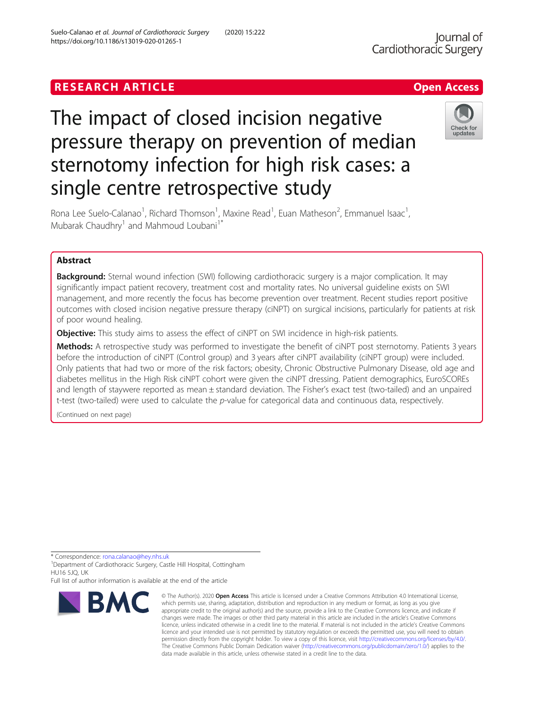# The impact of closed incision negative pressure therapy on prevention of median sternotomy infection for high risk cases: a single centre retrospective study



Rona Lee Suelo-Calanao<sup>1</sup>, Richard Thomson<sup>1</sup>, Maxine Read<sup>1</sup>, Euan Matheson<sup>2</sup>, Emmanuel Isaac<sup>1</sup> , Mubarak Chaudhry<sup>1</sup> and Mahmoud Loubani<sup>1\*</sup>

# Abstract

**Background:** Sternal wound infection (SWI) following cardiothoracic surgery is a major complication. It may significantly impact patient recovery, treatment cost and mortality rates. No universal guideline exists on SWI management, and more recently the focus has become prevention over treatment. Recent studies report positive outcomes with closed incision negative pressure therapy (ciNPT) on surgical incisions, particularly for patients at risk of poor wound healing.

Objective: This study aims to assess the effect of ciNPT on SWI incidence in high-risk patients.

Methods: A retrospective study was performed to investigate the benefit of ciNPT post sternotomy. Patients 3 years before the introduction of ciNPT (Control group) and 3 years after ciNPT availability (ciNPT group) were included. Only patients that had two or more of the risk factors; obesity, Chronic Obstructive Pulmonary Disease, old age and diabetes mellitus in the High Risk ciNPT cohort were given the ciNPT dressing. Patient demographics, EuroSCOREs and length of staywere reported as mean ± standard deviation. The Fisher's exact test (two-tailed) and an unpaired t-test (two-tailed) were used to calculate the p-value for categorical data and continuous data, respectively.

(Continued on next page)

\* Correspondence: [rona.calanao@hey.nhs.uk](mailto:rona.calanao@hey.nhs.uk) <sup>1</sup>

<sup>1</sup> Department of Cardiothoracic Surgery, Castle Hill Hospital, Cottingham HU16 5JQ, UK

Full list of author information is available at the end of the article



<sup>©</sup> The Author(s), 2020 **Open Access** This article is licensed under a Creative Commons Attribution 4.0 International License, which permits use, sharing, adaptation, distribution and reproduction in any medium or format, as long as you give appropriate credit to the original author(s) and the source, provide a link to the Creative Commons licence, and indicate if changes were made. The images or other third party material in this article are included in the article's Creative Commons licence, unless indicated otherwise in a credit line to the material. If material is not included in the article's Creative Commons licence and your intended use is not permitted by statutory regulation or exceeds the permitted use, you will need to obtain permission directly from the copyright holder. To view a copy of this licence, visit [http://creativecommons.org/licenses/by/4.0/.](http://creativecommons.org/licenses/by/4.0/) The Creative Commons Public Domain Dedication waiver [\(http://creativecommons.org/publicdomain/zero/1.0/](http://creativecommons.org/publicdomain/zero/1.0/)) applies to the data made available in this article, unless otherwise stated in a credit line to the data.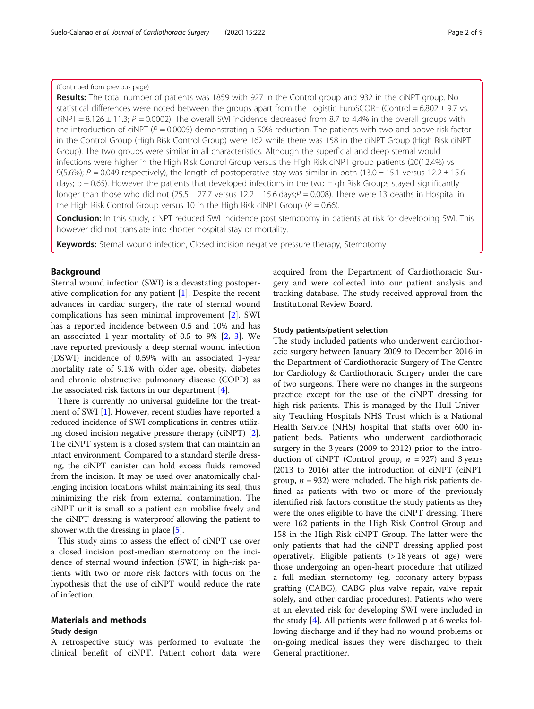# (Continued from previous page)

Results: The total number of patients was 1859 with 927 in the Control group and 932 in the ciNPT group. No statistical differences were noted between the groups apart from the Logistic EuroSCORE (Control =  $6.802 \pm 9.7$  vs. ciNPT =  $8.126 \pm 11.3$ ;  $P = 0.0002$ ). The overall SWI incidence decreased from 8.7 to 4.4% in the overall groups with the introduction of ciNPT ( $P = 0.0005$ ) demonstrating a 50% reduction. The patients with two and above risk factor in the Control Group (High Risk Control Group) were 162 while there was 158 in the ciNPT Group (High Risk ciNPT Group). The two groups were similar in all characteristics. Although the superficial and deep sternal would infections were higher in the High Risk Control Group versus the High Risk ciNPT group patients (20(12.4%) vs 9(5.6%);  $P = 0.049$  respectively), the length of postoperative stay was similar in both (13.0 ± 15.1 versus 12.2 ± 15.6 days; p + 0.65). However the patients that developed infections in the two High Risk Groups stayed significantly longer than those who did not  $(25.5 \pm 27.7$  versus  $12.2 \pm 15.6$  days; $P = 0.008$ ). There were 13 deaths in Hospital in the High Risk Control Group versus 10 in the High Risk ciNPT Group ( $P = 0.66$ ).

Conclusion: In this study, ciNPT reduced SWI incidence post sternotomy in patients at risk for developing SWI. This however did not translate into shorter hospital stay or mortality.

Keywords: Sternal wound infection, Closed incision negative pressure therapy, Sternotomy

# Background

Sternal wound infection (SWI) is a devastating postoperative complication for any patient [[1\]](#page-7-0). Despite the recent advances in cardiac surgery, the rate of sternal wound complications has seen minimal improvement [[2\]](#page-7-0). SWI has a reported incidence between 0.5 and 10% and has an associated 1-year mortality of 0.5 to 9% [[2,](#page-7-0) [3](#page-7-0)]. We have reported previously a deep sternal wound infection (DSWI) incidence of 0.59% with an associated 1-year mortality rate of 9.1% with older age, obesity, diabetes and chronic obstructive pulmonary disease (COPD) as the associated risk factors in our department [\[4](#page-7-0)].

There is currently no universal guideline for the treatment of SWI [\[1](#page-7-0)]. However, recent studies have reported a reduced incidence of SWI complications in centres utilizing closed incision negative pressure therapy (ciNPT) [[2](#page-7-0)]. The ciNPT system is a closed system that can maintain an intact environment. Compared to a standard sterile dressing, the ciNPT canister can hold excess fluids removed from the incision. It may be used over anatomically challenging incision locations whilst maintaining its seal, thus minimizing the risk from external contamination. The ciNPT unit is small so a patient can mobilise freely and the ciNPT dressing is waterproof allowing the patient to shower with the dressing in place [[5](#page-7-0)].

This study aims to assess the effect of ciNPT use over a closed incision post-median sternotomy on the incidence of sternal wound infection (SWI) in high-risk patients with two or more risk factors with focus on the hypothesis that the use of ciNPT would reduce the rate of infection.

# Materials and methods

## Study design

A retrospective study was performed to evaluate the clinical benefit of ciNPT. Patient cohort data were acquired from the Department of Cardiothoracic Surgery and were collected into our patient analysis and tracking database. The study received approval from the Institutional Review Board.

#### Study patients/patient selection

The study included patients who underwent cardiothoracic surgery between January 2009 to December 2016 in the Department of Cardiothoracic Surgery of The Centre for Cardiology & Cardiothoracic Surgery under the care of two surgeons. There were no changes in the surgeons practice except for the use of the ciNPT dressing for high risk patients. This is managed by the Hull University Teaching Hospitals NHS Trust which is a National Health Service (NHS) hospital that staffs over 600 inpatient beds. Patients who underwent cardiothoracic surgery in the 3 years (2009 to 2012) prior to the introduction of ciNPT (Control group,  $n = 927$ ) and 3 years (2013 to 2016) after the introduction of ciNPT (ciNPT group,  $n = 932$ ) were included. The high risk patients defined as patients with two or more of the previously identified risk factors constitue the study patients as they were the ones eligible to have the ciNPT dressing. There were 162 patients in the High Risk Control Group and 158 in the High Risk ciNPT Group. The latter were the only patients that had the ciNPT dressing applied post operatively. Eligible patients (> 18 years of age) were those undergoing an open-heart procedure that utilized a full median sternotomy (eg, coronary artery bypass grafting (CABG), CABG plus valve repair, valve repair solely, and other cardiac procedures). Patients who were at an elevated risk for developing SWI were included in the study [[4](#page-7-0)]. All patients were followed p at 6 weeks following discharge and if they had no wound problems or on-going medical issues they were discharged to their General practitioner.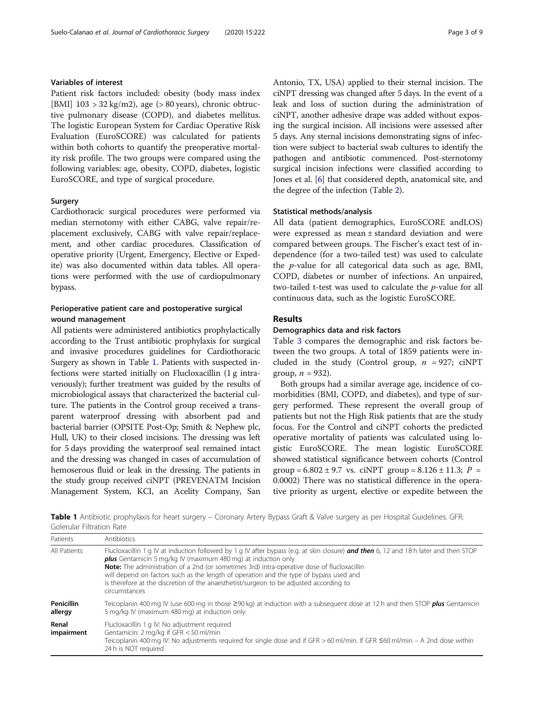# Variables of interest

Patient risk factors included: obesity (body mass index [BMI]  $103 > 32 \text{ kg/m2}$ , age ( $> 80 \text{ years}$ ), chronic obtructive pulmonary disease (COPD), and diabetes mellitus. The logistic European System for Cardiac Operative Risk Evaluation (EuroSCORE) was calculated for patients within both cohorts to quantify the preoperative mortality risk profile. The two groups were compared using the following variables: age, obesity, COPD, diabetes, logistic EuroSCORE, and type of surgical procedure.

# Surgery

Cardiothoracic surgical procedures were performed via median sternotomy with either CABG, valve repair/replacement exclusively, CABG with valve repair/replacement, and other cardiac procedures. Classification of operative priority (Urgent, Emergency, Elective or Expedite) was also documented within data tables. All operations were performed with the use of cardiopulmonary bypass.

# Perioperative patient care and postoperative surgical wound management

All patients were administered antibiotics prophylactically according to the Trust antibiotic prophylaxis for surgical and invasive procedures guidelines for Cardiothoracic Surgery as shown in Table 1. Patients with suspected infections were started initially on Flucloxacillin (1 g intravenously); further treatment was guided by the results of microbiological assays that characterized the bacterial culture. The patients in the Control group received a transparent waterproof dressing with absorbent pad and bacterial barrier (OPSITE Post-Op; Smith & Nephew plc, Hull, UK) to their closed incisions. The dressing was left for 5 days providing the waterproof seal remained intact and the dressing was changed in cases of accumulation of hemoserous fluid or leak in the dressing. The patients in the study group received ciNPT (PREVENATM Incision Management System, KCI, an Acelity Company, San

Antonio, TX, USA) applied to their sternal incision. The ciNPT dressing was changed after 5 days. In the event of a leak and loss of suction during the administration of ciNPT, another adhesive drape was added without exposing the surgical incision. All incisions were assessed after 5 days. Any sternal incisions demonstrating signs of infection were subject to bacterial swab cultures to identify the pathogen and antibiotic commenced. Post-sternotomy surgical incision infections were classified according to Jones et al. [\[6](#page-7-0)] that considered depth, anatomical site, and the degree of the infection (Table [2](#page-3-0)).

#### Statistical methods/analysis

All data (patient demographics, EuroSCORE andLOS) were expressed as mean ± standard deviation and were compared between groups. The Fischer's exact test of independence (for a two-tailed test) was used to calculate the p-value for all categorical data such as age, BMI, COPD, diabetes or number of infections. An unpaired, two-tailed t-test was used to calculate the p-value for all continuous data, such as the logistic EuroSCORE.

# Results

# Demographics data and risk factors

Table [3](#page-3-0) compares the demographic and risk factors between the two groups. A total of 1859 patients were included in the study (Control group,  $n = 927$ ; ciNPT group,  $n = 932$ ).

Both groups had a similar average age, incidence of comorbidities (BMI, COPD, and diabetes), and type of surgery performed. These represent the overall group of patients but not the High Risk patients that are the study focus. For the Control and ciNPT cohorts the predicted operative mortality of patients was calculated using logistic EuroSCORE. The mean logistic EuroSCORE showed statistical significance between cohorts (Control group =  $6.802 \pm 9.7$  vs. ciNPT group =  $8.126 \pm 11.3$ ;  $P =$ 0.0002) There was no statistical difference in the operative priority as urgent, elective or expedite between the

Table 1 Antibiotic prophylaxis for heart surgery – Coronary Artery Bypass Graft & Valve surgery as per Hospital Guidelines. GFR: Golerular Filtration Rate

| Patients                     | Antibiotics                                                                                                                                                                                                                                                                                                                                                                                                                                                                                                              |
|------------------------------|--------------------------------------------------------------------------------------------------------------------------------------------------------------------------------------------------------------------------------------------------------------------------------------------------------------------------------------------------------------------------------------------------------------------------------------------------------------------------------------------------------------------------|
| All Patients                 | Flucloxacillin 1 g IV at induction followed by 1 g IV after bypass (e.g. at skin closure) <b>and then</b> 6, 12 and 18 h later and then STOP<br><b>plus</b> Gentamicin 5 mg/kg IV (maximum 480 mg) at induction only<br>Note: The administration of a 2nd (or sometimes 3rd) intra-operative dose of flucloxacillin<br>will depend on factors such as the length of operation and the type of bypass used and<br>is therefore at the discretion of the anaesthetist/surgeon to be adjusted according to<br>circumstances |
| <b>Penicillin</b><br>allergy | Teicoplanin 400 mg IV (use 600 mg in those ≥90 kg) at induction with a subseguent dose at 12h and then STOP <b>plus</b> Gentamicin<br>5 mg/kg IV (maximum 480 mg) at induction only                                                                                                                                                                                                                                                                                                                                      |
| Renal<br>impairment          | Flucloxacillin 1 g IV: No adjustment required<br>Gentamicin: $2 \text{ mag/kg}$ if GFR $<$ 50 ml/min<br>Teicoplanin 400 mg Ⅳ: No adjustments reguired for single dose and if GFR > 60 ml/min. If GFR ≤60 ml/min – A 2nd dose within<br>24 h is NOT required                                                                                                                                                                                                                                                              |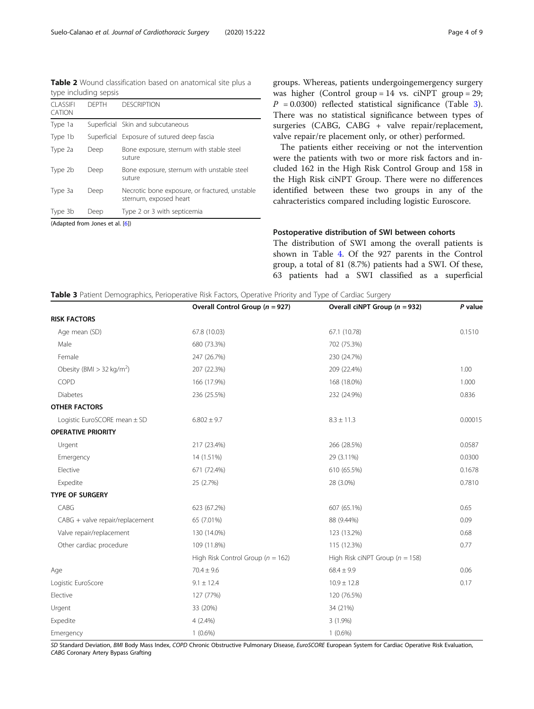<span id="page-3-0"></span>Table 2 Wound classification based on anatomical site plus a type including sepsis

| CLASSIEL<br>CATION | <b>DFPTH</b> | <b>DESCRIPTION</b>                                                       |
|--------------------|--------------|--------------------------------------------------------------------------|
| Type 1a            |              | Superficial Skin and subcutaneous                                        |
| Type 1b            |              | Superficial Exposure of sutured deep fascia                              |
| Type 2a            | Deep         | Bone exposure, sternum with stable steel<br>suture                       |
| Type 2b            | Deep         | Bone exposure, sternum with unstable steel<br>suture                     |
| Type 3a            | Deep         | Necrotic bone exposure, or fractured, unstable<br>sternum, exposed heart |
| Type 3b            | Deep         | Type 2 or 3 with septicemia                                              |

(Adapted from Jones et al. [[6\]](#page-7-0))

groups. Whereas, patients undergoingemergency surgery was higher (Control group = 14 vs. ciNPT group = 29;  $P = 0.0300$ ) reflected statistical significance (Table 3). There was no statistical significance between types of surgeries (CABG, CABG + valve repair/replacement, valve repair/re placement only, or other) performed.

The patients either receiving or not the intervention were the patients with two or more risk factors and included 162 in the High Risk Control Group and 158 in the High Risk ciNPT Group. There were no differences identified between these two groups in any of the cahracteristics compared including logistic Euroscore.

# Postoperative distribution of SWI between cohorts

The distribution of SWI among the overall patients is shown in Table [4.](#page-4-0) Of the 927 parents in the Control group, a total of 81 (8.7%) patients had a SWI. Of these, 63 patients had a SWI classified as a superficial

| Table 3 Patient Demographics, Perioperative Risk Factors, Operative Priority and Type of Cardiac Surgery |  |  |  |
|----------------------------------------------------------------------------------------------------------|--|--|--|
|                                                                                                          |  |  |  |

|                                         | Overall Control Group ( $n = 927$ )   | Overall ciNPT Group ( $n = 932$ )   | P value |
|-----------------------------------------|---------------------------------------|-------------------------------------|---------|
| <b>RISK FACTORS</b>                     |                                       |                                     |         |
| Age mean (SD)                           | 67.8 (10.03)                          | 67.1 (10.78)                        | 0.1510  |
| Male                                    | 680 (73.3%)                           | 702 (75.3%)                         |         |
| Female                                  | 247 (26.7%)                           | 230 (24.7%)                         |         |
| Obesity (BMI $>$ 32 kg/m <sup>2</sup> ) | 207 (22.3%)                           | 209 (22.4%)                         | 1.00    |
| COPD                                    | 166 (17.9%)                           | 168 (18.0%)                         | 1.000   |
| Diabetes                                | 236 (25.5%)                           | 232 (24.9%)                         | 0.836   |
| <b>OTHER FACTORS</b>                    |                                       |                                     |         |
| Logistic EuroSCORE mean ± SD            | $6.802 \pm 9.7$                       | $8.3 \pm 11.3$                      | 0.00015 |
| <b>OPERATIVE PRIORITY</b>               |                                       |                                     |         |
| Urgent                                  | 217 (23.4%)                           | 266 (28.5%)                         | 0.0587  |
| Emergency                               | 14 (1.51%)                            | 29 (3.11%)                          | 0.0300  |
| Elective                                | 671 (72.4%)                           | 610 (65.5%)                         | 0.1678  |
| Expedite                                | 25 (2.7%)                             | 28 (3.0%)                           | 0.7810  |
| <b>TYPE OF SURGERY</b>                  |                                       |                                     |         |
| CABG                                    | 623 (67.2%)                           | 607 (65.1%)                         | 0.65    |
| CABG + valve repair/replacement         | 65 (7.01%)                            | 88 (9.44%)                          | 0.09    |
| Valve repair/replacement                | 130 (14.0%)                           | 123 (13.2%)                         | 0.68    |
| Other cardiac procedure                 | 109 (11.8%)                           | 115 (12.3%)                         | 0.77    |
|                                         | High Risk Control Group ( $n = 162$ ) | High Risk ciNPT Group ( $n = 158$ ) |         |
| Age                                     | $70.4 \pm 9.6$                        | $68.4 \pm 9.9$                      | 0.06    |
| Logistic EuroScore                      | $9.1 \pm 12.4$                        | $10.9 \pm 12.8$                     | 0.17    |
| Elective                                | 127 (77%)                             | 120 (76.5%)                         |         |
| Urgent                                  | 33 (20%)                              | 34 (21%)                            |         |
| Expedite                                | $4(2.4\%)$                            | $3(1.9\%)$                          |         |
| Emergency                               | $1(0.6\%)$                            | $1(0.6\%)$                          |         |

SD Standard Deviation, BMI Body Mass Index, COPD Chronic Obstructive Pulmonary Disease, EuroSCORE European System for Cardiac Operative Risk Evaluation, CABG Coronary Artery Bypass Grafting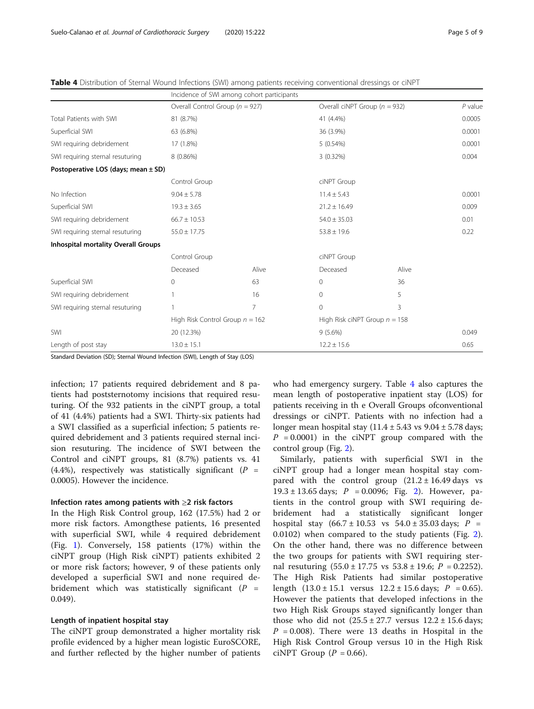| Page 5 of 9 |  |  |  |
|-------------|--|--|--|
|-------------|--|--|--|

|                                            |                                     | Incidence of SWI among cohort participants |                                   |                  |           |  |
|--------------------------------------------|-------------------------------------|--------------------------------------------|-----------------------------------|------------------|-----------|--|
|                                            | Overall Control Group ( $n = 927$ ) |                                            | Overall ciNPT Group ( $n = 932$ ) |                  | $P$ value |  |
| Total Patients with SWI                    | 81 (8.7%)                           |                                            | 41 (4.4%)                         |                  | 0.0005    |  |
| Superficial SWI                            | 63 (6.8%)                           |                                            | 36 (3.9%)                         |                  | 0.0001    |  |
| SWI requiring debridement                  | 17 (1.8%)                           |                                            | 5(0.54%)                          |                  | 0.0001    |  |
| SWI requiring sternal resuturing           | 8 (0.86%)                           |                                            | $3(0.32\%)$                       |                  | 0.004     |  |
| Postoperative LOS (days; mean ± SD)        |                                     |                                            |                                   |                  |           |  |
|                                            | Control Group                       |                                            |                                   | ciNPT Group      |           |  |
| No Infection                               | $9.04 \pm 5.78$                     |                                            |                                   | $11.4 \pm 5.43$  |           |  |
| Superficial SWI                            | $19.3 \pm 3.65$                     |                                            |                                   | $21.2 \pm 16.49$ |           |  |
| SWI requiring debridement                  | $66.7 \pm 10.53$                    |                                            |                                   | $54.0 \pm 35.03$ |           |  |
| SWI requiring sternal resuturing           | $55.0 \pm 17.75$                    |                                            | $53.8 \pm 19.6$                   |                  | 0.22      |  |
| <b>Inhospital mortality Overall Groups</b> |                                     |                                            |                                   |                  |           |  |
|                                            | Control Group                       |                                            | ciNPT Group                       |                  |           |  |
|                                            | Deceased                            | Alive                                      | Deceased                          | Alive            |           |  |
| Superficial SWI                            | 0                                   | 63                                         | $\Omega$                          | 36               |           |  |
| SWI requiring debridement                  |                                     | 16                                         | $\Omega$                          | 5                |           |  |
| SWI requiring sternal resuturing           |                                     | $\overline{7}$                             | $\Omega$                          | 3                |           |  |
|                                            | High Risk Control Group $n = 162$   |                                            | High Risk ciNPT Group $n = 158$   |                  |           |  |
| SWI                                        | 20 (12.3%)                          |                                            | $9(5.6\%)$                        |                  | 0.049     |  |
| Length of post stay                        | $13.0 \pm 15.1$                     |                                            | $12.2 \pm 15.6$                   |                  | 0.65      |  |

<span id="page-4-0"></span>Table 4 Distribution of Sternal Wound Infections (SWI) among patients receiving conventional dressings or ciNPT

Standard Deviation (SD); Sternal Wound Infection (SWI), Length of Stay (LOS)

infection; 17 patients required debridement and 8 patients had poststernotomy incisions that required resuturing. Of the 932 patients in the ciNPT group, a total of 41 (4.4%) patients had a SWI. Thirty-six patients had a SWI classified as a superficial infection; 5 patients required debridement and 3 patients required sternal incision resuturing. The incidence of SWI between the Control and ciNPT groups, 81 (8.7%) patients vs. 41 (4.4%), respectively was statistically significant ( $P =$ 0.0005). However the incidence.

# Infection rates among patients with ≥2 risk factors

In the High Risk Control group, 162 (17.5%) had 2 or more risk factors. Amongthese patients, 16 presented with superficial SWI, while 4 required debridement (Fig. [1](#page-5-0)). Conversely, 158 patients (17%) within the ciNPT group (High Risk ciNPT) patients exhibited 2 or more risk factors; however, 9 of these patients only developed a superficial SWI and none required debridement which was statistically significant  $(P =$ 0.049).

# Length of inpatient hospital stay

The ciNPT group demonstrated a higher mortality risk profile evidenced by a higher mean logistic EuroSCORE, and further reflected by the higher number of patients who had emergency surgery. Table 4 also captures the mean length of postoperative inpatient stay (LOS) for patients receiving in th e Overall Groups ofconventional dressings or ciNPT. Patients with no infection had a longer mean hospital stay  $(11.4 \pm 5.43 \text{ vs } 9.04 \pm 5.78 \text{ days})$  $P = 0.0001$ ) in the ciNPT group compared with the control group (Fig. [2\)](#page-5-0).

Similarly, patients with superficial SWI in the ciNPT group had a longer mean hospital stay compared with the control group  $(21.2 \pm 16.49 \text{ days}$  vs  $19.3 \pm 13.65$  days;  $P = 0.0096$ ; Fig. [2\)](#page-5-0). However, patients in the control group with SWI requiring debridement had a statistically significant longer hospital stay  $(66.7 \pm 10.53 \text{ vs } 54.0 \pm 35.03 \text{ days}; P =$ 0.0102) when compared to the study patients (Fig. [2](#page-5-0)). On the other hand, there was no difference between the two groups for patients with SWI requiring sternal resuturing  $(55.0 \pm 17.75 \text{ vs } 53.8 \pm 19.6; P = 0.2252)$ . The High Risk Patients had similar postoperative length  $(13.0 \pm 15.1$  versus  $12.2 \pm 15.6$  days;  $P = 0.65$ ). However the patients that developed infections in the two High Risk Groups stayed significantly longer than those who did not  $(25.5 \pm 27.7 \text{ versus } 12.2 \pm 15.6 \text{ days})$  $P = 0.008$ ). There were 13 deaths in Hospital in the High Risk Control Group versus 10 in the High Risk ciNPT Group  $(P = 0.66)$ .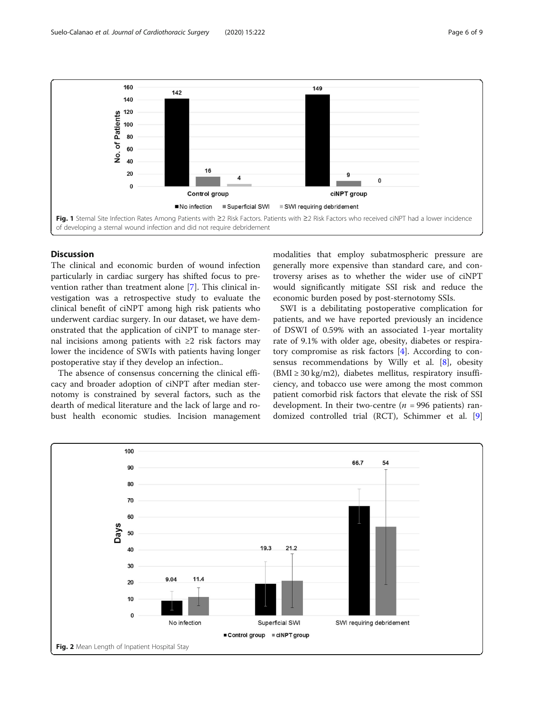<span id="page-5-0"></span>

# Discussion

The clinical and economic burden of wound infection particularly in cardiac surgery has shifted focus to prevention rather than treatment alone [[7\]](#page-7-0). This clinical investigation was a retrospective study to evaluate the clinical benefit of ciNPT among high risk patients who underwent cardiac surgery. In our dataset, we have demonstrated that the application of ciNPT to manage sternal incisions among patients with ≥2 risk factors may lower the incidence of SWIs with patients having longer postoperative stay if they develop an infection..

The absence of consensus concerning the clinical efficacy and broader adoption of ciNPT after median sternotomy is constrained by several factors, such as the dearth of medical literature and the lack of large and robust health economic studies. Incision management modalities that employ subatmospheric pressure are generally more expensive than standard care, and controversy arises as to whether the wider use of ciNPT would significantly mitigate SSI risk and reduce the economic burden posed by post-sternotomy SSIs.

SWI is a debilitating postoperative complication for patients, and we have reported previously an incidence of DSWI of 0.59% with an associated 1-year mortality rate of 9.1% with older age, obesity, diabetes or respiratory compromise as risk factors [\[4](#page-7-0)]. According to consensus recommendations by Willy et al. [[8](#page-7-0)], obesity  $(BMI \geq 30 \text{ kg/m2})$ , diabetes mellitus, respiratory insufficiency, and tobacco use were among the most common patient comorbid risk factors that elevate the risk of SSI development. In their two-centre ( $n = 996$  patients) randomized controlled trial (RCT), Schimmer et al. [\[9](#page-8-0)]

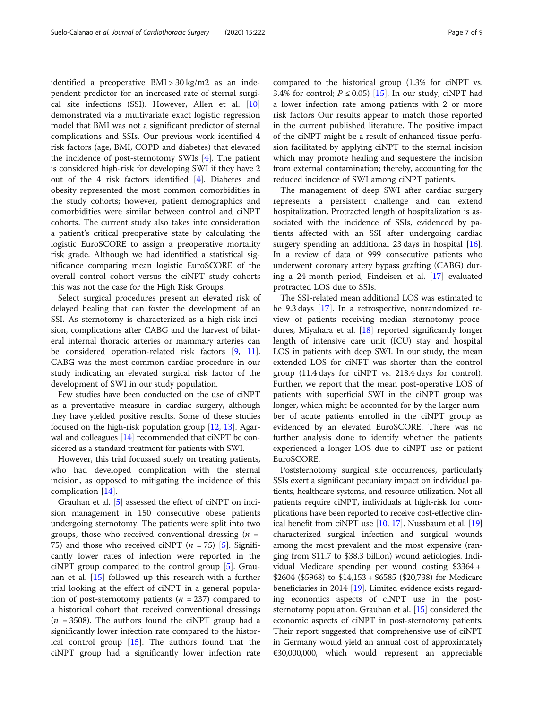identified a preoperative  $BMI > 30$  kg/m2 as an independent predictor for an increased rate of sternal surgical site infections (SSI). However, Allen et al. [[10](#page-8-0)] demonstrated via a multivariate exact logistic regression model that BMI was not a significant predictor of sternal complications and SSIs. Our previous work identified 4 risk factors (age, BMI, COPD and diabetes) that elevated the incidence of post-sternotomy SWIs [\[4\]](#page-7-0). The patient is considered high-risk for developing SWI if they have 2 out of the 4 risk factors identified [\[4\]](#page-7-0). Diabetes and obesity represented the most common comorbidities in the study cohorts; however, patient demographics and comorbidities were similar between control and ciNPT cohorts. The current study also takes into consideration a patient's critical preoperative state by calculating the logistic EuroSCORE to assign a preoperative mortality risk grade. Although we had identified a statistical significance comparing mean logistic EuroSCORE of the overall control cohort versus the ciNPT study cohorts this was not the case for the High Risk Groups.

Select surgical procedures present an elevated risk of delayed healing that can foster the development of an SSI. As sternotomy is characterized as a high-risk incision, complications after CABG and the harvest of bilateral internal thoracic arteries or mammary arteries can be considered operation-related risk factors [\[9](#page-8-0), [11](#page-8-0)]. CABG was the most common cardiac procedure in our study indicating an elevated surgical risk factor of the development of SWI in our study population.

Few studies have been conducted on the use of ciNPT as a preventative measure in cardiac surgery, although they have yielded positive results. Some of these studies focused on the high-risk population group [[12](#page-8-0), [13](#page-8-0)]. Agarwal and colleagues [\[14\]](#page-8-0) recommended that ciNPT be considered as a standard treatment for patients with SWI.

However, this trial focussed solely on treating patients, who had developed complication with the sternal incision, as opposed to mitigating the incidence of this complication [[14\]](#page-8-0).

Grauhan et al. [\[5](#page-7-0)] assessed the effect of ciNPT on incision management in 150 consecutive obese patients undergoing sternotomy. The patients were split into two groups, those who received conventional dressing  $(n =$ 75) and those who received ciNPT  $(n = 75)$  [\[5](#page-7-0)]. Significantly lower rates of infection were reported in the ciNPT group compared to the control group [\[5](#page-7-0)]. Grauhan et al. [[15\]](#page-8-0) followed up this research with a further trial looking at the effect of ciNPT in a general population of post-sternotomy patients ( $n = 237$ ) compared to a historical cohort that received conventional dressings  $(n = 3508)$ . The authors found the ciNPT group had a significantly lower infection rate compared to the historical control group [\[15](#page-8-0)]. The authors found that the ciNPT group had a significantly lower infection rate compared to the historical group (1.3% for ciNPT vs. 3.4% for control;  $P \le 0.05$ ) [\[15\]](#page-8-0). In our study, ciNPT had a lower infection rate among patients with 2 or more risk factors Our results appear to match those reported in the current published literature. The positive impact of the ciNPT might be a result of enhanced tissue perfusion facilitated by applying ciNPT to the sternal incision which may promote healing and sequestere the incision from external contamination; thereby, accounting for the reduced incidence of SWI among ciNPT patients.

The management of deep SWI after cardiac surgery represents a persistent challenge and can extend hospitalization. Protracted length of hospitalization is associated with the incidence of SSIs, evidenced by patients affected with an SSI after undergoing cardiac surgery spending an additional 23 days in hospital [\[16](#page-8-0)]. In a review of data of 999 consecutive patients who underwent coronary artery bypass grafting (CABG) during a 24-month period, Findeisen et al. [[17](#page-8-0)] evaluated protracted LOS due to SSIs.

The SSI-related mean additional LOS was estimated to be 9.3 days [[17\]](#page-8-0). In a retrospective, nonrandomized review of patients receiving median sternotomy procedures, Miyahara et al. [[18\]](#page-8-0) reported significantly longer length of intensive care unit (ICU) stay and hospital LOS in patients with deep SWI. In our study, the mean extended LOS for ciNPT was shorter than the control group (11.4 days for ciNPT vs. 218.4 days for control). Further, we report that the mean post-operative LOS of patients with superficial SWI in the ciNPT group was longer, which might be accounted for by the larger number of acute patients enrolled in the ciNPT group as evidenced by an elevated EuroSCORE. There was no further analysis done to identify whether the patients experienced a longer LOS due to ciNPT use or patient EuroSCORE.

Poststernotomy surgical site occurrences, particularly SSIs exert a significant pecuniary impact on individual patients, healthcare systems, and resource utilization. Not all patients require ciNPT, individuals at high-risk for complications have been reported to receive cost-effective clinical benefit from ciNPT use [\[10,](#page-8-0) [17\]](#page-8-0). Nussbaum et al. [[19](#page-8-0)] characterized surgical infection and surgical wounds among the most prevalent and the most expensive (ranging from \$11.7 to \$38.3 billion) wound aetiologies. Individual Medicare spending per wound costing \$3364 + \$2604 (\$5968) to \$14,153 + \$6585 (\$20,738) for Medicare beneficiaries in 2014 [\[19\]](#page-8-0). Limited evidence exists regarding economics aspects of ciNPT use in the poststernotomy population. Grauhan et al. [\[15\]](#page-8-0) considered the economic aspects of ciNPT in post-sternotomy patients. Their report suggested that comprehensive use of ciNPT in Germany would yield an annual cost of approximately €30,000,000, which would represent an appreciable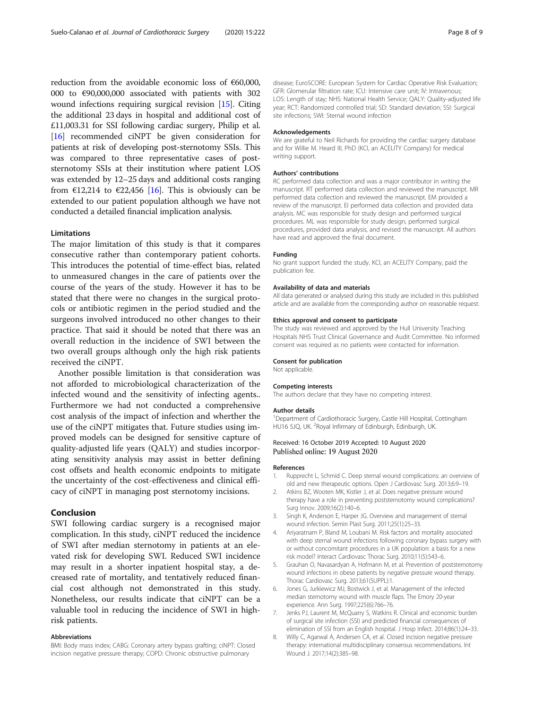<span id="page-7-0"></span>reduction from the avoidable economic loss of €60,000, 000 to €90,000,000 associated with patients with 302 wound infections requiring surgical revision [[15](#page-8-0)]. Citing the additional 23 days in hospital and additional cost of £11,003.31 for SSI following cardiac surgery, Philip et al. [[16](#page-8-0)] recommended ciNPT be given consideration for patients at risk of developing post-sternotomy SSIs. This was compared to three representative cases of poststernotomy SSIs at their institution where patient LOS was extended by 12–25 days and additional costs ranging from  $\epsilon$ 12,214 to  $\epsilon$ 22,456 [[16](#page-8-0)]. This is obviously can be extended to our patient population although we have not conducted a detailed financial implication analysis.

# **Limitations**

The major limitation of this study is that it compares consecutive rather than contemporary patient cohorts. This introduces the potential of time-effect bias, related to unmeasured changes in the care of patients over the course of the years of the study. However it has to be stated that there were no changes in the surgical protocols or antibiotic regimen in the period studied and the surgeons involved introduced no other changes to their practice. That said it should be noted that there was an overall reduction in the incidence of SWI between the two overall groups although only the high risk patients received the ciNPT.

Another possible limitation is that consideration was not afforded to microbiological characterization of the infected wound and the sensitivity of infecting agents.. Furthermore we had not conducted a comprehensive cost analysis of the impact of infection and wherther the use of the ciNPT mitigates that. Future studies using improved models can be designed for sensitive capture of quality-adjusted life years (QALY) and studies incorporating sensitivity analysis may assist in better defining cost offsets and health economic endpoints to mitigate the uncertainty of the cost-effectiveness and clinical efficacy of ciNPT in managing post sternotomy incisions.

# Conclusion

SWI following cardiac surgery is a recognised major complication. In this study, ciNPT reduced the incidence of SWI after median sternotomy in patients at an elevated risk for developing SWI. Reduced SWI incidence may result in a shorter inpatient hospital stay, a decreased rate of mortality, and tentatively reduced financial cost although not demonstrated in this study. Nonetheless, our results indicate that ciNPT can be a valuable tool in reducing the incidence of SWI in highrisk patients.

#### Abbreviations

BMI: Body mass index; CABG: Coronary artery bypass grafting; ciNPT: Closed incision negative pressure therapy; COPD: Chronic obstructive pulmonary

disease; EuroSCORE: European System for Cardiac Operative Risk Evaluation; GFR: Glomerular filtration rate; ICU: Intensive care unit; IV: Intravenous; LOS: Length of stay; NHS: National Health Service; QALY: Quality-adjusted life year; RCT: Randomized controlled trial; SD: Standard deviation; SSI: Surgical site infections; SWI: Sternal wound infection

#### Acknowledgements

We are grateful to Neil Richards for providing the cardiac surgery database and for Willie M. Heard III, PhD (KCI, an ACELITY Company) for medical writing support.

#### Authors' contributions

RC performed data collection and was a major contributor in writing the manuscript. RT performed data collection and reviewed the manuscript. MR performed data collection and reviewed the manuscript. EM provided a review of the manuscript. EI performed data collection and provided data analysis. MC was responsible for study design and performed surgical procedures. ML was responsible for study design, performed surgical procedures, provided data analysis, and revised the manuscript. All authors have read and approved the final document.

#### Funding

No grant support funded the study. KCI, an ACELITY Company, paid the publication fee.

#### Availability of data and materials

All data generated or analysed during this study are included in this published article and are available from the corresponding author on reasonable request.

#### Ethics approval and consent to participate

The study was reviewed and approved by the Hull University Teaching Hospitals NHS Trust Clinical Governance and Audit Committee. No informed consent was required as no patients were contacted for information.

#### Consent for publication

Not applicable.

#### Competing interests

The authors declare that they have no competing interest.

#### Author details

<sup>1</sup>Department of Cardiothoracic Surgery, Castle Hill Hospital, Cottingham HU16 5JQ, UK. <sup>2</sup>Royal Infirmary of Edinburgh, Edinburgh, UK.

# Received: 16 October 2019 Accepted: 10 August 2020 Published online: 19 August 2020

#### References

- 1. Rupprecht L, Schmid C. Deep sternal wound complications: an overview of old and new therapeutic options. Open J Cardiovasc Surg. 2013;6:9–19.
- 2. Atkins BZ, Wooten MK, Kistler J, et al. Does negative pressure wound therapy have a role in preventing poststernotomy wound complications? Surg Innov. 2009;16(2):140–6.
- 3. Singh K, Anderson E, Harper JG. Overview and management of sternal wound infection. Semin Plast Surg. 2011;25(1):25–33.
- 4. Ariyaratnam P, Bland M, Loubani M. Risk factors and mortality associated with deep sternal wound infections following coronary bypass surgery with or without concomitant procedures in a UK population: a basis for a new risk model? Interact Cardiovasc Thorac Surg. 2010;11(5):543–6.
- 5. Grauhan O, Navasardyan A, Hofmann M, et al. Prevention of poststernotomy wound infections in obese patients by negative pressure wound therapy. Thorac Cardiovasc Surg. 2013;61(SUPPL):1.
- 6. Jones G, Jurkiewicz MJ, Bostwick J, et al. Management of the infected median sternotomy wound with muscle flaps. The Emory 20-year experience. Ann Surg. 1997;225(6):766–76.
- 7. Jenks PJ, Laurent M, McQuarry S, Watkins R. Clinical and economic burden of surgical site infection (SSI) and predicted financial consequences of elimination of SSI from an English hospital. J Hosp Infect. 2014;86(1):24–33.
- 8. Willy C, Agarwal A, Andersen CA, et al. Closed incision negative pressure therapy: international multidisciplinary consensus recommendations. Int Wound J. 2017;14(2):385–98.